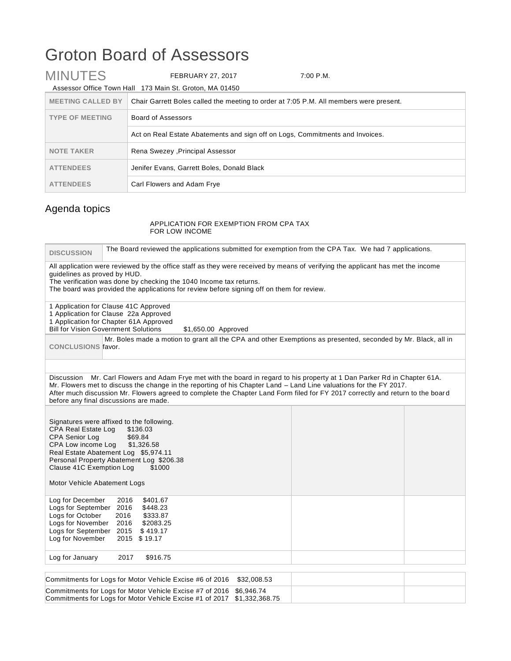## Groton Board of Assessors

| <b>MINUTES</b>           | <b>FEBRUARY 27, 2017</b>                                                               | 7:00 P.M. |
|--------------------------|----------------------------------------------------------------------------------------|-----------|
|                          | Assessor Office Town Hall 173 Main St. Groton, MA 01450                                |           |
| <b>MEETING CALLED BY</b> | Chair Garrett Boles called the meeting to order at 7:05 P.M. All members were present. |           |
| <b>TYPE OF MEETING</b>   | Board of Assessors                                                                     |           |
|                          | Act on Real Estate Abatements and sign off on Logs, Commitments and Invoices.          |           |
| <b>NOTE TAKER</b>        | Rena Swezey , Principal Assessor                                                       |           |
| <b>ATTENDEES</b>         | Jenifer Evans, Garrett Boles, Donald Black                                             |           |
| <b>ATTENDEES</b>         | Carl Flowers and Adam Frye                                                             |           |

## Agenda topics

## APPLICATION FOR EXEMPTION FROM CPA TAX FOR LOW INCOME

| <b>DISCUSSION</b>                                                                                                                                                                                                                                                                                                                                                                                                           | The Board reviewed the applications submitted for exemption from the CPA Tax. We had 7 applications.                                                                                                                                                                                              |  |  |
|-----------------------------------------------------------------------------------------------------------------------------------------------------------------------------------------------------------------------------------------------------------------------------------------------------------------------------------------------------------------------------------------------------------------------------|---------------------------------------------------------------------------------------------------------------------------------------------------------------------------------------------------------------------------------------------------------------------------------------------------|--|--|
| guidelines as proved by HUD.                                                                                                                                                                                                                                                                                                                                                                                                | All application were reviewed by the office staff as they were received by means of verifying the applicant has met the income<br>The verification was done by checking the 1040 Income tax returns.<br>The board was provided the applications for review before signing off on them for review. |  |  |
|                                                                                                                                                                                                                                                                                                                                                                                                                             | 1 Application for Clause 41C Approved<br>1 Application for Clause 22a Approved<br>1 Application for Chapter 61A Approved<br><b>Bill for Vision Government Solutions</b><br>\$1,650.00 Approved                                                                                                    |  |  |
| Mr. Boles made a motion to grant all the CPA and other Exemptions as presented, seconded by Mr. Black, all in<br><b>CONCLUSIONS favor.</b>                                                                                                                                                                                                                                                                                  |                                                                                                                                                                                                                                                                                                   |  |  |
| Discussion Mr. Carl Flowers and Adam Frye met with the board in regard to his property at 1 Dan Parker Rd in Chapter 61A.<br>Mr. Flowers met to discuss the change in the reporting of his Chapter Land – Land Line valuations for the FY 2017.<br>After much discussion Mr. Flowers agreed to complete the Chapter Land Form filed for FY 2017 correctly and return to the board<br>before any final discussions are made. |                                                                                                                                                                                                                                                                                                   |  |  |
| <b>CPA Real Estate Log</b><br><b>CPA Senior Log</b><br>CPA Low income Log<br>Clause 41C Exemption Log<br>Motor Vehicle Abatement Logs                                                                                                                                                                                                                                                                                       | Signatures were affixed to the following.<br>\$136.03<br>\$69.84<br>\$1,326.58<br>Real Estate Abatement Log \$5,974.11<br>Personal Property Abatement Log \$206.38<br>\$1000                                                                                                                      |  |  |
| Log for December<br>Logs for September<br>Logs for October<br>Logs for November<br>Logs for September 2015<br>Log for November                                                                                                                                                                                                                                                                                              | 2016<br>\$401.67<br>2016<br>\$448.23<br>2016<br>\$333.87<br>2016<br>\$2083.25<br>\$419.17<br>2015 \$19.17                                                                                                                                                                                         |  |  |
| Log for January                                                                                                                                                                                                                                                                                                                                                                                                             | 2017<br>\$916.75                                                                                                                                                                                                                                                                                  |  |  |
|                                                                                                                                                                                                                                                                                                                                                                                                                             | Commitments for Logs for Motor Vehicle Excise #6 of 2016<br>\$32,008.53                                                                                                                                                                                                                           |  |  |

| Commitments for Logs for Motor Vehicle Excise #6 of 2016 \$32,008.53    |  |  |
|-------------------------------------------------------------------------|--|--|
| Commitments for Logs for Motor Vehicle Excise #7 of 2016 \$6,946.74     |  |  |
| Commitments for Logs for Motor Vehicle Excise #1 of 2017 \$1,332,368.75 |  |  |